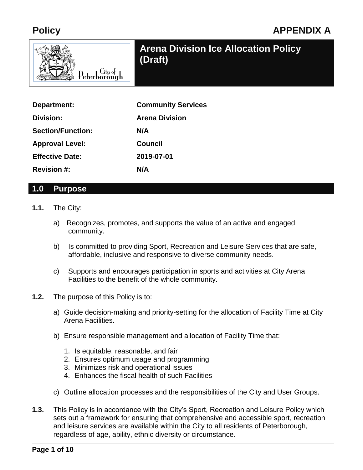# **Policy APPENDIX A**



# **Arena Division Ice Allocation Policy**

| Department:              | <b>Community Services</b> |
|--------------------------|---------------------------|
| Division:                | <b>Arena Division</b>     |
| <b>Section/Function:</b> | N/A                       |
| <b>Approval Level:</b>   | Council                   |
| <b>Effective Date:</b>   | 2019-07-01                |
| <b>Revision #:</b>       | N/A                       |

#### **1.0 Purpose**

- **1.1.** The City:
	- a) Recognizes, promotes, and supports the value of an active and engaged community.
	- b) Is committed to providing Sport, Recreation and Leisure Services that are safe, affordable, inclusive and responsive to diverse community needs.
	- c) Supports and encourages participation in sports and activities at City Arena Facilities to the benefit of the whole community.
- **1.2.** The purpose of this Policy is to:
	- a) Guide decision-making and priority-setting for the allocation of Facility Time at City Arena Facilities.
	- b) Ensure responsible management and allocation of Facility Time that:
		- 1. Is equitable, reasonable, and fair
		- 2. Ensures optimum usage and programming
		- 3. Minimizes risk and operational issues
		- 4. Enhances the fiscal health of such Facilities
	- c) Outline allocation processes and the responsibilities of the City and User Groups.
- **1.3.** This Policy is in accordance with the City's Sport, Recreation and Leisure Policy which sets out a framework for ensuring that comprehensive and accessible sport, recreation and leisure services are available within the City to all residents of Peterborough, regardless of age, ability, ethnic diversity or circumstance.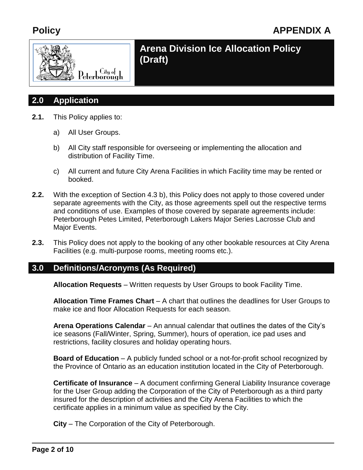

### **2.0 Application**

- **2.1.** This Policy applies to:
	- a) All User Groups.
	- b) All City staff responsible for overseeing or implementing the allocation and distribution of Facility Time.
	- c) All current and future City Arena Facilities in which Facility time may be rented or booked.
- **2.2.** With the exception of Section 4.3 b), this Policy does not apply to those covered under separate agreements with the City, as those agreements spell out the respective terms and conditions of use. Examples of those covered by separate agreements include: Peterborough Petes Limited, Peterborough Lakers Major Series Lacrosse Club and Major Events.
- **2.3.** This Policy does not apply to the booking of any other bookable resources at City Arena Facilities (e.g. multi-purpose rooms, meeting rooms etc.).

### **3.0 Definitions/Acronyms (As Required)**

**Allocation Requests** – Written requests by User Groups to book Facility Time.

**Allocation Time Frames Chart** – A chart that outlines the deadlines for User Groups to make ice and floor Allocation Requests for each season.

**Arena Operations Calendar** – An annual calendar that outlines the dates of the City's ice seasons (Fall/Winter, Spring, Summer), hours of operation, ice pad uses and restrictions, facility closures and holiday operating hours.

**Board of Education** – A publicly funded school or a not-for-profit school recognized by the Province of Ontario as an education institution located in the City of Peterborough.

**Certificate of Insurance** – A document confirming General Liability Insurance coverage for the User Group adding the Corporation of the City of Peterborough as a third party insured for the description of activities and the City Arena Facilities to which the certificate applies in a minimum value as specified by the City.

**City** – The Corporation of the City of Peterborough.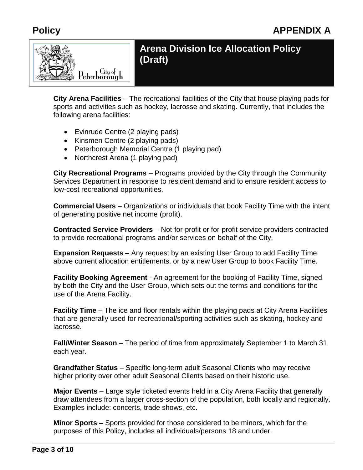

**City Arena Facilities** – The recreational facilities of the City that house playing pads for sports and activities such as hockey, lacrosse and skating. Currently, that includes the following arena facilities:

- Evinrude Centre (2 playing pads)
- Kinsmen Centre (2 playing pads)
- Peterborough Memorial Centre (1 playing pad)
- Northcrest Arena (1 playing pad)

**City Recreational Programs** – Programs provided by the City through the Community Services Department in response to resident demand and to ensure resident access to low-cost recreational opportunities.

**Commercial Users** – Organizations or individuals that book Facility Time with the intent of generating positive net income (profit).

**Contracted Service Providers** – Not-for-profit or for-profit service providers contracted to provide recreational programs and/or services on behalf of the City.

**Expansion Requests –** Any request by an existing User Group to add Facility Time above current allocation entitlements, or by a new User Group to book Facility Time.

**Facility Booking Agreement** - An agreement for the booking of Facility Time, signed by both the City and the User Group, which sets out the terms and conditions for the use of the Arena Facility.

**Facility Time** – The ice and floor rentals within the playing pads at City Arena Facilities that are generally used for recreational/sporting activities such as skating, hockey and lacrosse.

**Fall/Winter Season** – The period of time from approximately September 1 to March 31 each year.

**Grandfather Status** – Specific long-term adult Seasonal Clients who may receive higher priority over other adult Seasonal Clients based on their historic use.

**Major Events** – Large style ticketed events held in a City Arena Facility that generally draw attendees from a larger cross-section of the population, both locally and regionally. Examples include: concerts, trade shows, etc.

**Minor Sports –** Sports provided for those considered to be minors, which for the purposes of this Policy, includes all individuals/persons 18 and under.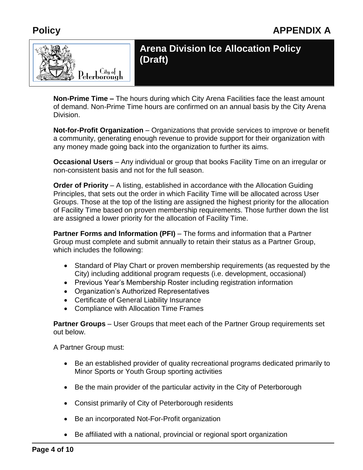

**Non-Prime Time –** The hours during which City Arena Facilities face the least amount of demand. Non-Prime Time hours are confirmed on an annual basis by the City Arena Division.

**Not-for-Profit Organization** – Organizations that provide services to improve or benefit a community, generating enough revenue to provide support for their organization with any money made going back into the organization to further its aims.

**Occasional Users** – Any individual or group that books Facility Time on an irregular or non-consistent basis and not for the full season.

**Order of Priority** – A listing, established in accordance with the Allocation Guiding Principles, that sets out the order in which Facility Time will be allocated across User Groups. Those at the top of the listing are assigned the highest priority for the allocation of Facility Time based on proven membership requirements. Those further down the list are assigned a lower priority for the allocation of Facility Time.

**Partner Forms and Information (PFI)** – The forms and information that a Partner Group must complete and submit annually to retain their status as a Partner Group, which includes the following:

- Standard of Play Chart or proven membership requirements (as requested by the City) including additional program requests (i.e. development, occasional)
- Previous Year's Membership Roster including registration information
- Organization's Authorized Representatives
- Certificate of General Liability Insurance
- Compliance with Allocation Time Frames

**Partner Groups** – User Groups that meet each of the Partner Group requirements set out below.

A Partner Group must:

- Be an established provider of quality recreational programs dedicated primarily to Minor Sports or Youth Group sporting activities
- Be the main provider of the particular activity in the City of Peterborough
- Consist primarily of City of Peterborough residents
- Be an incorporated Not-For-Profit organization
- Be affiliated with a national, provincial or regional sport organization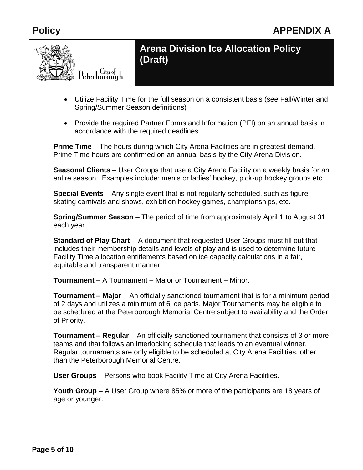

- Utilize Facility Time for the full season on a consistent basis (see Fall/Winter and Spring/Summer Season definitions)
- Provide the required Partner Forms and Information (PFI) on an annual basis in accordance with the required deadlines

**Prime Time** – The hours during which City Arena Facilities are in greatest demand. Prime Time hours are confirmed on an annual basis by the City Arena Division.

**Seasonal Clients** – User Groups that use a City Arena Facility on a weekly basis for an entire season. Examples include: men's or ladies' hockey, pick-up hockey groups etc.

**Special Events** – Any single event that is not regularly scheduled, such as figure skating carnivals and shows, exhibition hockey games, championships, etc.

**Spring/Summer Season** – The period of time from approximately April 1 to August 31 each year.

**Standard of Play Chart** – A document that requested User Groups must fill out that includes their membership details and levels of play and is used to determine future Facility Time allocation entitlements based on ice capacity calculations in a fair, equitable and transparent manner.

**Tournament** – A Tournament – Major or Tournament – Minor.

**Tournament – Major** – An officially sanctioned tournament that is for a minimum period of 2 days and utilizes a minimum of 6 ice pads. Major Tournaments may be eligible to be scheduled at the Peterborough Memorial Centre subject to availability and the Order of Priority.

**Tournament – Regular** – An officially sanctioned tournament that consists of 3 or more teams and that follows an interlocking schedule that leads to an eventual winner. Regular tournaments are only eligible to be scheduled at City Arena Facilities, other than the Peterborough Memorial Centre.

**User Groups** – Persons who book Facility Time at City Arena Facilities.

**Youth Group** – A User Group where 85% or more of the participants are 18 years of age or younger.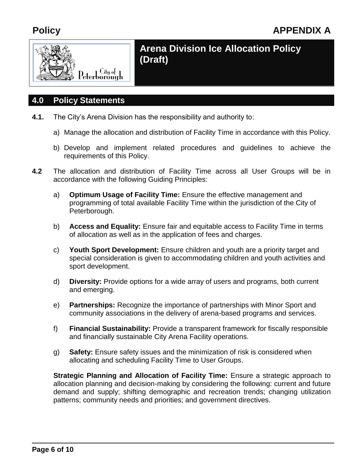

#### **4.0 Policy Statements**

- **4.1.** The City's Arena Division has the responsibility and authority to:
	- a) Manage the allocation and distribution of Facility Time in accordance with this Policy.
	- b) Develop and implement related procedures and guidelines to achieve the requirements of this Policy.
- **4.2** The allocation and distribution of Facility Time across all User Groups will be in accordance with the following Guiding Principles:
	- a) **Optimum Usage of Facility Time:** Ensure the effective management and programming of total available Facility Time within the jurisdiction of the City of Peterborough.
	- b) **Access and Equality:** Ensure fair and equitable access to Facility Time in terms of allocation as well as in the application of fees and charges.
	- c) **Youth Sport Development:** Ensure children and youth are a priority target and special consideration is given to accommodating children and youth activities and sport development.
	- d) **Diversity:** Provide options for a wide array of users and programs, both current and emerging.
	- e) **Partnerships:** Recognize the importance of partnerships with Minor Sport and community associations in the delivery of arena-based programs and services.
	- f) **Financial Sustainability:** Provide a transparent framework for fiscally responsible and financially sustainable City Arena Facility operations.
	- g) **Safety:** Ensure safety issues and the minimization of risk is considered when allocating and scheduling Facility Time to User Groups.

**Strategic Planning and Allocation of Facility Time:** Ensure a strategic approach to allocation planning and decision-making by considering the following: current and future demand and supply; shifting demographic and recreation trends; changing utilization patterns; community needs and priorities; and government directives.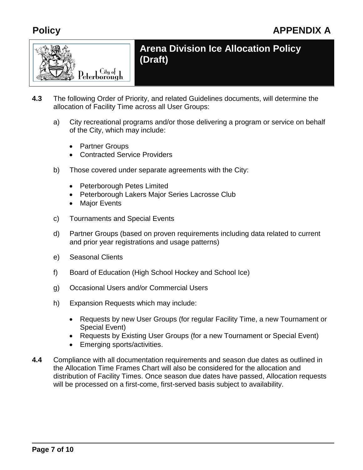

- **4.3** The following Order of Priority, and related Guidelines documents, will determine the allocation of Facility Time across all User Groups:
	- a) City recreational programs and/or those delivering a program or service on behalf of the City, which may include:
		- Partner Groups
		- Contracted Service Providers
	- b) Those covered under separate agreements with the City:
		- Peterborough Petes Limited
		- Peterborough Lakers Major Series Lacrosse Club
		- Maior Events
	- c) Tournaments and Special Events
	- d) Partner Groups (based on proven requirements including data related to current and prior year registrations and usage patterns)
	- e) Seasonal Clients
	- f) Board of Education (High School Hockey and School Ice)
	- g) Occasional Users and/or Commercial Users
	- h) Expansion Requests which may include:
		- Requests by new User Groups (for regular Facility Time, a new Tournament or Special Event)
		- Requests by Existing User Groups (for a new Tournament or Special Event)
		- Emerging sports/activities.
- **4.4** Compliance with all documentation requirements and season due dates as outlined in the Allocation Time Frames Chart will also be considered for the allocation and distribution of Facility Times. Once season due dates have passed, Allocation requests will be processed on a first-come, first-served basis subject to availability.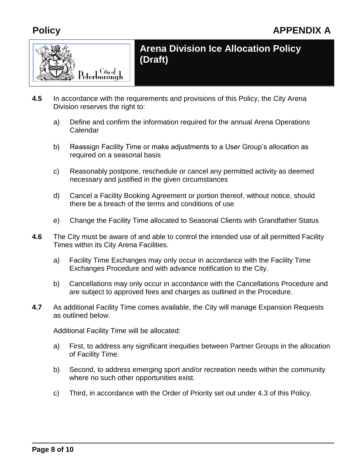

- **4.5** In accordance with the requirements and provisions of this Policy, the City Arena Division reserves the right to:
	- a) Define and confirm the information required for the annual Arena Operations Calendar
	- b) Reassign Facility Time or make adjustments to a User Group's allocation as required on a seasonal basis
	- c) Reasonably postpone, reschedule or cancel any permitted activity as deemed necessary and justified in the given circumstances
	- d) Cancel a Facility Booking Agreement or portion thereof, without notice, should there be a breach of the terms and conditions of use
	- e) Change the Facility Time allocated to Seasonal Clients with Grandfather Status
- **4.6** The City must be aware of and able to control the intended use of all permitted Facility Times within its City Arena Facilities.
	- a) Facility Time Exchanges may only occur in accordance with the Facility Time Exchanges Procedure and with advance notification to the City.
	- b) Cancellations may only occur in accordance with the Cancellations Procedure and are subject to approved fees and charges as outlined in the Procedure.
- **4.7** As additional Facility Time comes available, the City will manage Expansion Requests as outlined below.

Additional Facility Time will be allocated:

- a) First, to address any significant inequities between Partner Groups in the allocation of Facility Time.
- b) Second, to address emerging sport and/or recreation needs within the community where no such other opportunities exist.
- c) Third, in accordance with the Order of Priority set out under 4.3 of this Policy.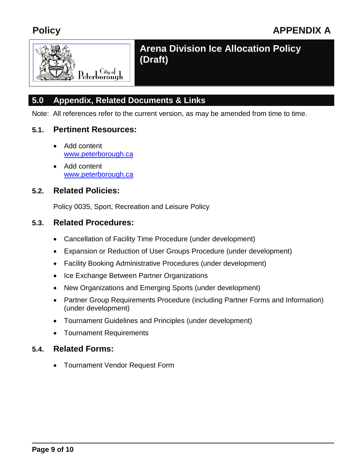

## **5.0 Appendix, Related Documents & Links**

Note: All references refer to the current version, as may be amended from time to time.

#### **5.1. Pertinent Resources:**

- Add content [www.peterborough.ca](file:///C:/Documents%20and%20Settings/jsheward/Local%20Settings/Temp/XPGrpWise/www.peterborough.ca)
- Add content [www.peterborough.ca](file:///C:/Documents%20and%20Settings/jsheward/Local%20Settings/Temp/XPGrpWise/www.peterborough.ca)

#### **5.2. Related Policies:**

Policy 0035, Sport, Recreation and Leisure Policy

#### **5.3. Related Procedures:**

- Cancellation of Facility Time Procedure (under development)
- Expansion or Reduction of User Groups Procedure (under development)
- Facility Booking Administrative Procedures (under development)
- Ice Exchange Between Partner Organizations
- New Organizations and Emerging Sports (under development)
- Partner Group Requirements Procedure (including Partner Forms and Information) (under development)
- Tournament Guidelines and Principles (under development)
- Tournament Requirements

#### **5.4. Related Forms:**

Tournament Vendor Request Form